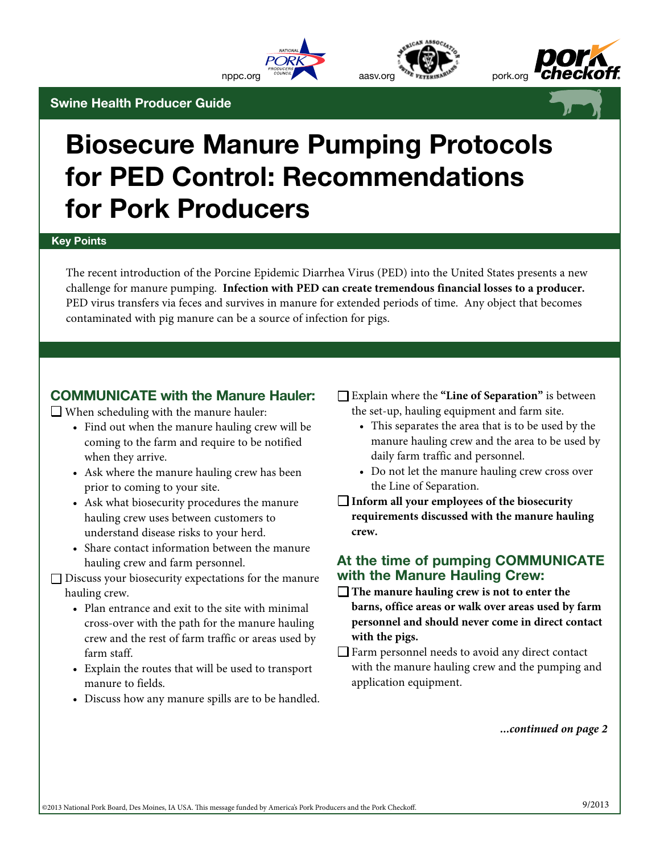







# Biosecure Manure Pumping Protocols for PED Control: Recommendations for Pork Producers

#### Key Points

The recent introduction of the Porcine Epidemic Diarrhea Virus (PED) into the United States presents a new challenge for manure pumping. **Infection with PED can create tremendous financial losses to a producer.**  PED virus transfers via feces and survives in manure for extended periods of time. Any object that becomes contaminated with pig manure can be a source of infection for pigs.

# COMMUNICATE with the Manure Hauler:

 $\Box$  When scheduling with the manure hauler:

Swine Health Producer Guide

- Find out when the manure hauling crew will be coming to the farm and require to be notified when they arrive.
- Ask where the manure hauling crew has been prior to coming to your site.
- Ask what biosecurity procedures the manure hauling crew uses between customers to understand disease risks to your herd.
- Share contact information between the manure hauling crew and farm personnel.
- $\square$  Discuss your biosecurity expectations for the manure hauling crew.
	- Plan entrance and exit to the site with minimal cross-over with the path for the manure hauling crew and the rest of farm traffic or areas used by farm staff.
	- Explain the routes that will be used to transport manure to fields.
	- Discuss how any manure spills are to be handled.

• Explain where the **"Line of Separation"** is between the set-up, hauling equipment and farm site.

- This separates the area that is to be used by the manure hauling crew and the area to be used by daily farm traffic and personnel.
- Do not let the manure hauling crew cross over the Line of Separation.
- **Inform all your employees of the biosecurity requirements discussed with the manure hauling crew.**

### At the time of pumping COMMUNICATE with the Manure Hauling Crew:

- □ The manure hauling crew is not to enter the **barns, office areas or walk over areas used by farm personnel and should never come in direct contact with the pigs.**
- $\Box$  Farm personnel needs to avoid any direct contact with the manure hauling crew and the pumping and application equipment.

*...continued on page 2*